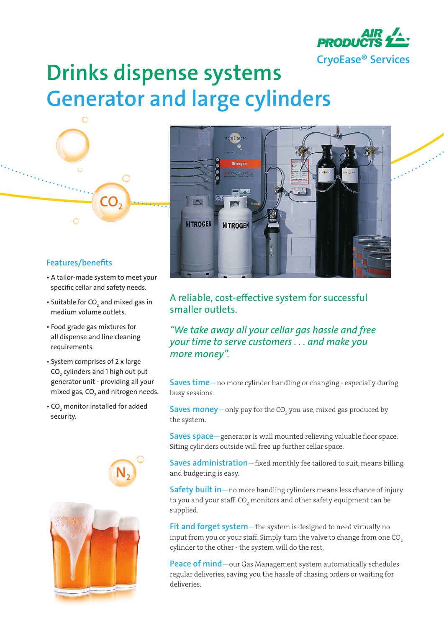

## **Drinks dispense systems Generator and large cylinders**



 $\overline{O}$ 

• A tailor-made system to meet your specific cellar and safety needs.

**CO2**

- $\bullet$  Suitable for CO $_{_2}$  and mixed gas in medium volume outlets.
- Food grade gas mixtures for all dispense and line cleaning requirements.
- System comprises of 2 x large CO $_{_{2}}$  cylinders and 1 high out put generator unit - providing all your mixed gas, CO $_{\textrm{\tiny{2}}}$  and nitrogen needs.
- CO<sub>2</sub> monitor installed for added security.







## A reliable, cost-effective system for successful smaller outlets.

*"We take away all your cellar gas hassle and free your time to serve customers . . . and make you more money".*

**Saves time**—no more cylinder handling or changing - especially during busy sessions.

**Saves money**—only pay for the CO<sub>2</sub> you use, mixed gas produced by the system.

**Saves space**—generator is wall mounted relieving valuable floor space. Siting cylinders outside will free up further cellar space.

**Saves administration**—fixed monthly fee tailored to suit, means billing and budgeting is easy.

**Safety built in**—no more handling cylinders means less chance of injury to you and your staff. CO<sub>2</sub> monitors and other safety equipment can be supplied.

**Fit and forget system**—the system is designed to need virtually no input from you or your staff. Simply turn the valve to change from one CO<sub>2</sub> cylinder to the other - the system will do the rest.

**Peace of mind**—our Gas Management system automatically schedules regular deliveries, saving you the hassle of chasing orders or waiting for deliveries.